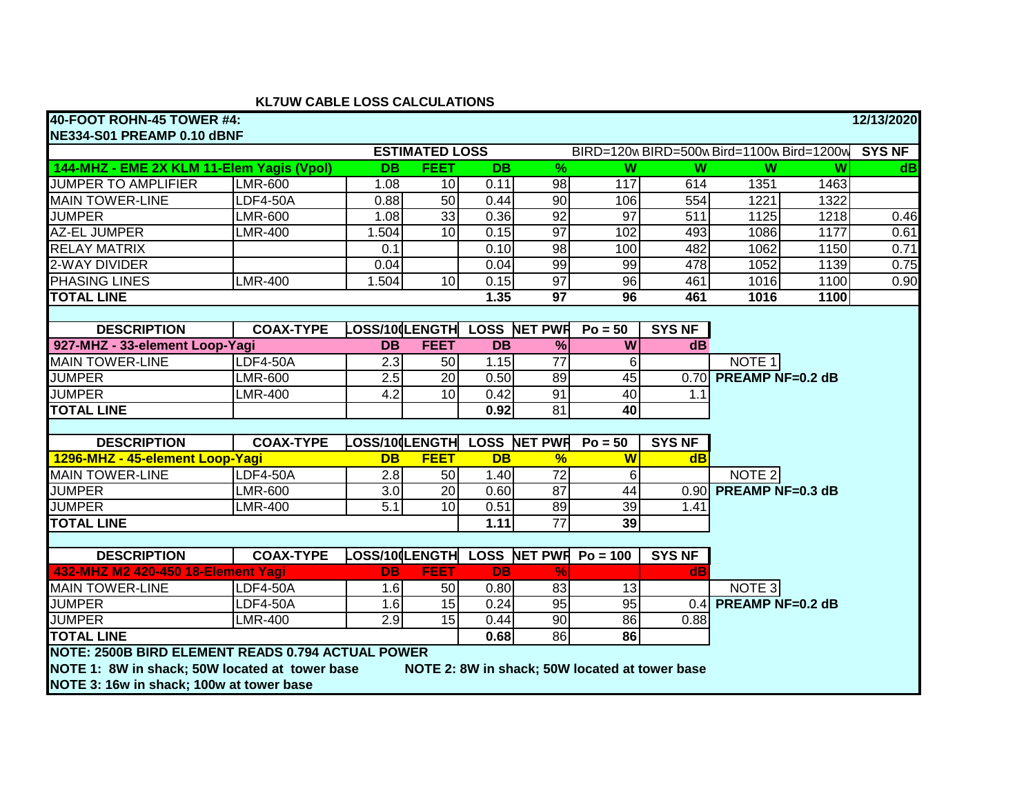## **KL7UW CABLE LOSS CALCULATIONS**

| 40-FOOT ROHN-45 TOWER #4:                                                                        |                  |                  |                       |                 |                                           |                                     |                         |                         |                         | 12/13/2020    |  |
|--------------------------------------------------------------------------------------------------|------------------|------------------|-----------------------|-----------------|-------------------------------------------|-------------------------------------|-------------------------|-------------------------|-------------------------|---------------|--|
| NE334-S01 PREAMP 0.10 dBNF                                                                       |                  |                  |                       |                 |                                           |                                     |                         |                         |                         |               |  |
|                                                                                                  |                  |                  | <b>ESTIMATED LOSS</b> |                 | BIRD=120w BIRD=500w Bird=1100w Bird=1200w |                                     |                         |                         |                         | <b>SYS NF</b> |  |
| 144-MHZ - EME 2X KLM 11-Elem Yagis (Vpol)                                                        |                  | <b>DB</b>        | <b>FEET</b>           | $\overline{DB}$ | $\overline{\%}$                           | $\overline{\mathsf{w}}$             | $\overline{\mathsf{W}}$ | $\overline{W}$          | $\overline{\mathsf{w}}$ | dB            |  |
| <b>JUMPER TO AMPLIFIER</b>                                                                       | <b>LMR-600</b>   | 1.08             | 10                    | 0.11            | 98                                        | 117                                 | 614                     | 1351                    | 1463                    |               |  |
| <b>MAIN TOWER-LINE</b>                                                                           | <b>LDF4-50A</b>  | 0.88             | 50                    | 0.44            | 90                                        | 106                                 | 554                     | 1221                    | 1322                    |               |  |
| <b>JUMPER</b>                                                                                    | <b>LMR-600</b>   | 1.08             | 33                    | 0.36            | 92                                        | 97                                  | 511                     | 1125                    | 1218                    | 0.46          |  |
| <b>AZ-EL JUMPER</b>                                                                              | <b>LMR-400</b>   | 1.504            | 10                    | 0.15            | $\overline{97}$                           | 102                                 | 493                     | 1086                    | 1177                    | 0.61          |  |
| <b>RELAY MATRIX</b>                                                                              |                  | 0.1              |                       | 0.10            | $\overline{98}$                           | 100                                 | 482                     | 1062                    | 1150                    | 0.71          |  |
| 2-WAY DIVIDER                                                                                    |                  | 0.04             |                       | 0.04            | 99                                        | 99                                  | 478                     | 1052                    | 1139                    | 0.75          |  |
| <b>PHASING LINES</b>                                                                             | <b>LMR-400</b>   | 1.504            | 10                    | 0.15            | 97                                        | $\overline{96}$                     | 461                     | 1016                    | 1100                    | 0.90          |  |
| <b>TOTAL LINE</b>                                                                                |                  |                  |                       | 1.35            | $\overline{97}$                           | 96                                  | 461                     | 1016                    | 1100                    |               |  |
|                                                                                                  |                  |                  |                       |                 |                                           |                                     |                         |                         |                         |               |  |
| <b>DESCRIPTION</b>                                                                               | <b>COAX-TYPE</b> |                  |                       |                 | OSS/100LENGTH LOSS NET PWR                | $Po = 50$                           | <b>SYS NF</b>           |                         |                         |               |  |
| 927-MHZ - 33-element Loop-Yagi                                                                   |                  | <b>DB</b>        | <b>FEET</b>           | <b>DB</b>       | $\%$                                      | W                                   | dB                      |                         |                         |               |  |
| <b>MAIN TOWER-LINE</b>                                                                           | <b>LDF4-50A</b>  | 2.3              | 50                    | 1.15            | $\overline{77}$                           | 6                                   |                         | NOTE <sub>1</sub>       |                         |               |  |
| <b>JUMPER</b>                                                                                    | <b>LMR-600</b>   | 2.5              | 20                    | 0.50            | 89                                        | 45                                  | 0.70                    | <b>PREAMP NF=0.2 dB</b> |                         |               |  |
| <b>JUMPER</b>                                                                                    | <b>LMR-400</b>   | 4.2              | 10                    | 0.42            | $\overline{91}$                           | 40                                  | 1.1                     |                         |                         |               |  |
| <b>TOTAL LINE</b>                                                                                |                  |                  |                       | 0.92            | $\overline{81}$                           | $\overline{40}$                     |                         |                         |                         |               |  |
|                                                                                                  |                  |                  |                       |                 |                                           |                                     |                         |                         |                         |               |  |
| <b>DESCRIPTION</b>                                                                               | <b>COAX-TYPE</b> |                  |                       |                 | OSS/10 LENGTH LOSS NET PWR                | $Po = 50$                           | <b>SYS NF</b>           |                         |                         |               |  |
| 1296-MHZ - 45-element Loop-Yagi                                                                  |                  | <b>DB</b>        | <b>FEET</b>           | <b>DB</b>       | $\frac{9}{6}$                             | $\overline{\mathsf{W}}$             | dB                      |                         |                         |               |  |
| <b>MAIN TOWER-LINE</b>                                                                           | $LDF4-50A$       | $\overline{2.8}$ | 50                    | 1.40            | $\overline{72}$                           | 6                                   |                         | NOTE <sub>2</sub>       |                         |               |  |
| <b>JUMPER</b>                                                                                    | <b>LMR-600</b>   | 3.0              | 20                    | 0.60            | 87                                        | 44                                  | 0.90                    | <b>PREAMP NF=0.3 dB</b> |                         |               |  |
| <b>JUMPER</b>                                                                                    | <b>LMR-400</b>   | 5.1              | 10                    | 0.51            | 89                                        | 39                                  | 1.41                    |                         |                         |               |  |
| <b>TOTAL LINE</b>                                                                                |                  |                  |                       | 1.11            | $\overline{77}$                           | 39                                  |                         |                         |                         |               |  |
|                                                                                                  |                  |                  |                       |                 |                                           |                                     |                         |                         |                         |               |  |
| <b>DESCRIPTION</b>                                                                               | <b>COAX-TYPE</b> |                  |                       |                 |                                           | OSS/10 LENGTH LOSS NET PWH Po = 100 | <b>SYS NF</b>           |                         |                         |               |  |
| 432-MHZ M2 420-450 18-Element Yagi                                                               |                  | <b>DB</b>        | <b>FEET</b>           | <b>DB</b>       | $\frac{9}{6}$                             |                                     | dB                      |                         |                         |               |  |
| <b>MAIN TOWER-LINE</b>                                                                           | LDF4-50A         | 1.6              | 50                    | 0.80            | 83                                        | 13                                  |                         | NOTE 3                  |                         |               |  |
| <b>JUMPER</b>                                                                                    | <b>LDF4-50A</b>  | 1.6              | $\overline{15}$       | 0.24            | 95                                        | 95                                  | 0.4                     | <b>PREAMP NF=0.2 dB</b> |                         |               |  |
| <b>JUMPER</b>                                                                                    | <b>LMR-400</b>   | $\overline{2.9}$ | 15                    | 0.44            | 90                                        | 86                                  | 0.88                    |                         |                         |               |  |
| <b>TOTAL LINE</b>                                                                                |                  |                  |                       | 0.68            | 86                                        | 86                                  |                         |                         |                         |               |  |
| NOTE: 2500B BIRD ELEMENT READS 0.794 ACTUAL POWER                                                |                  |                  |                       |                 |                                           |                                     |                         |                         |                         |               |  |
| NOTE 1: 8W in shack; 50W located at tower base<br>NOTE 2: 8W in shack; 50W located at tower base |                  |                  |                       |                 |                                           |                                     |                         |                         |                         |               |  |
| NOTE 3: 16w in shack; 100w at tower base                                                         |                  |                  |                       |                 |                                           |                                     |                         |                         |                         |               |  |